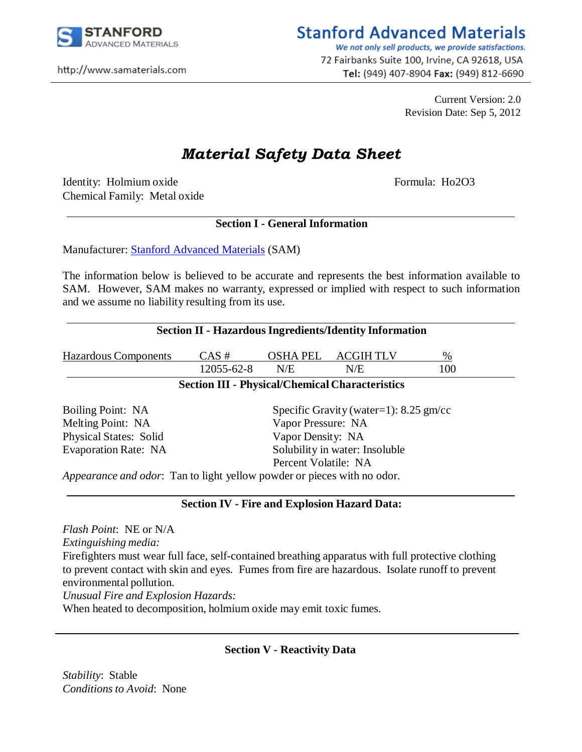

http://www.samaterials.com

## **Stanford Advanced Materials**

We not only sell products, we provide satisfactions. 72 Fairbanks Suite 100, Irvine, CA 92618, USA Tel: (949) 407-8904 Fax: (949) 812-6690

> Current Version: 2.0 Revision Date: Sep 5, 2012

# *Material Safety Data Sheet*

Identity: Holmium oxide Formula: Ho2O3 Chemical Family: Metal oxide

#### **Section I - General Information**

Manufacturer: [Stanford Advanced Materials](http://www.sputtertargets.net/) (SAM)

The information below is believed to be accurate and represents the best information available to SAM. However, SAM makes no warranty, expressed or implied with respect to such information and we assume no liability resulting from its use.

| <b>Section II - Hazardous Ingredients/Identity Information</b> |                                          |                 |                                                        |      |  |
|----------------------------------------------------------------|------------------------------------------|-----------------|--------------------------------------------------------|------|--|
| <b>Hazardous Components</b>                                    | $CAS \#$                                 | <b>OSHA PEL</b> | <b>ACGIHTLV</b>                                        | $\%$ |  |
|                                                                | 12055-62-8                               | N/E             | N/E                                                    | 100  |  |
|                                                                |                                          |                 | <b>Section III - Physical/Chemical Characteristics</b> |      |  |
| Boiling Point: NA                                              | Specific Gravity (water=1): $8.25$ gm/cc |                 |                                                        |      |  |
| Melting Point: NA                                              | Vapor Pressure: NA                       |                 |                                                        |      |  |
| <b>Physical States: Solid</b>                                  | Vapor Density: NA                        |                 |                                                        |      |  |
| <b>Evaporation Rate: NA</b>                                    | Solubility in water: Insoluble           |                 |                                                        |      |  |
|                                                                | Percent Volatile: NA                     |                 |                                                        |      |  |

*Appearance and odor*: Tan to light yellow powder or pieces with no odor.

#### **Section IV - Fire and Explosion Hazard Data:**

*Flash Point*: NE or N/A *Extinguishing media:* Firefighters must wear full face, self-contained breathing apparatus with full protective clothing to prevent contact with skin and eyes. Fumes from fire are hazardous. Isolate runoff to prevent environmental pollution. *Unusual Fire and Explosion Hazards:*

When heated to decomposition, holmium oxide may emit toxic fumes.

#### **Section V - Reactivity Data**

*Stability*: Stable *Conditions to Avoid*: None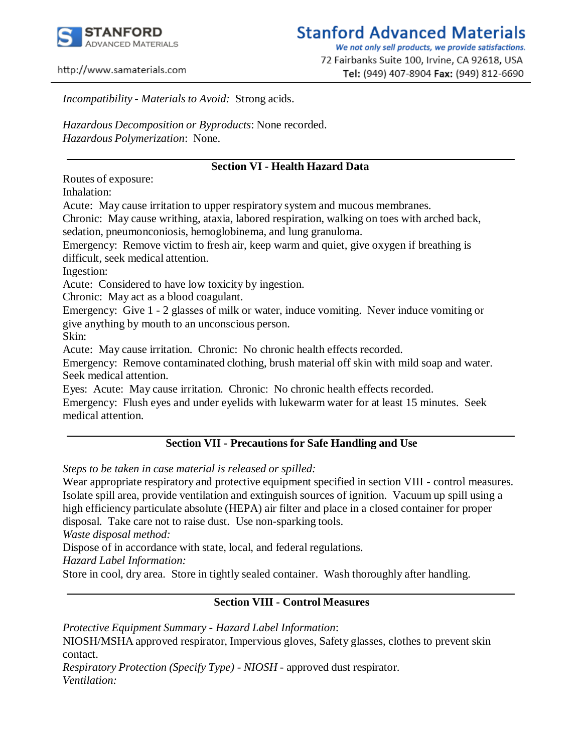

We not only sell products, we provide satisfactions. 72 Fairbanks Suite 100, Irvine, CA 92618, USA Tel: (949) 407-8904 Fax: (949) 812-6690

http://www.samaterials.com

*Incompatibility - Materials to Avoid:* Strong acids.

*Hazardous Decomposition or Byproducts*: None recorded. *Hazardous Polymerization*: None.

#### **Section VI - Health Hazard Data**

Routes of exposure:

Inhalation:

Acute: May cause irritation to upper respiratory system and mucous membranes.

Chronic: May cause writhing, ataxia, labored respiration, walking on toes with arched back, sedation, pneumonconiosis, hemoglobinema, and lung granuloma.

Emergency: Remove victim to fresh air, keep warm and quiet, give oxygen if breathing is difficult, seek medical attention.

Ingestion:

Acute: Considered to have low toxicity by ingestion.

Chronic: May act as a blood coagulant.

Emergency: Give 1 - 2 glasses of milk or water, induce vomiting. Never induce vomiting or give anything by mouth to an unconscious person.

Skin:

Acute: May cause irritation. Chronic: No chronic health effects recorded.

Emergency: Remove contaminated clothing, brush material off skin with mild soap and water. Seek medical attention.

Eyes: Acute: May cause irritation. Chronic: No chronic health effects recorded.

Emergency: Flush eyes and under eyelids with lukewarm water for at least 15 minutes. Seek medical attention.

#### **Section VII - Precautions for Safe Handling and Use**

*Steps to be taken in case material is released or spilled:*

Wear appropriate respiratory and protective equipment specified in section VIII - control measures. Isolate spill area, provide ventilation and extinguish sources of ignition. Vacuum up spill using a high efficiency particulate absolute (HEPA) air filter and place in a closed container for proper disposal. Take care not to raise dust. Use non-sparking tools.

*Waste disposal method:*

Dispose of in accordance with state, local, and federal regulations.

*Hazard Label Information:*

Store in cool, dry area. Store in tightly sealed container. Wash thoroughly after handling.

#### **Section VIII - Control Measures**

*Protective Equipment Summary - Hazard Label Information*: NIOSH/MSHA approved respirator, Impervious gloves, Safety glasses, clothes to prevent skin contact. *Respiratory Protection (Specify Type) - NIOSH* - approved dust respirator. *Ventilation:*